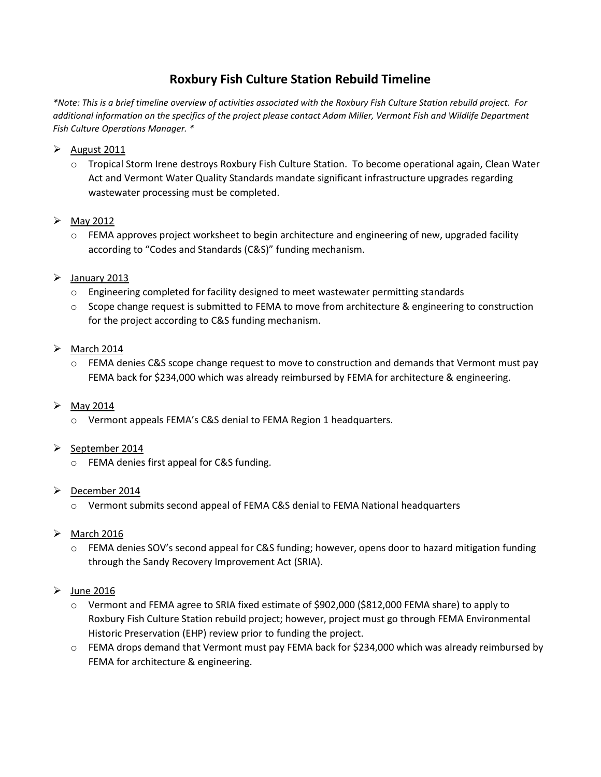# **Roxbury Fish Culture Station Rebuild Timeline**

*\*Note: This is a brief timeline overview of activities associated with the Roxbury Fish Culture Station rebuild project. For additional information on the specifics of the project please contact Adam Miller, Vermont Fish and Wildlife Department Fish Culture Operations Manager. \** 

- $\triangleright$  August 2011
	- o Tropical Storm Irene destroys Roxbury Fish Culture Station. To become operational again, Clean Water Act and Vermont Water Quality Standards mandate significant infrastructure upgrades regarding wastewater processing must be completed.

## $\triangleright$  May 2012

- $\circ$  FEMA approves project worksheet to begin architecture and engineering of new, upgraded facility according to "Codes and Standards (C&S)" funding mechanism.
- $\blacktriangleright$  January 2013
	- o Engineering completed for facility designed to meet wastewater permitting standards
	- o Scope change request is submitted to FEMA to move from architecture & engineering to construction for the project according to C&S funding mechanism.
- $\triangleright$  March 2014
	- o FEMA denies C&S scope change request to move to construction and demands that Vermont must pay FEMA back for \$234,000 which was already reimbursed by FEMA for architecture & engineering.
- $\triangleright$  May 2014
	- o Vermont appeals FEMA's C&S denial to FEMA Region 1 headquarters.
- $\triangleright$  September 2014
	- o FEMA denies first appeal for C&S funding.
- $\triangleright$  December 2014
	- o Vermont submits second appeal of FEMA C&S denial to FEMA National headquarters
- $\triangleright$  March 2016
	- o FEMA denies SOV's second appeal for C&S funding; however, opens door to hazard mitigation funding through the Sandy Recovery Improvement Act (SRIA).
- $\blacktriangleright$  June 2016
	- o Vermont and FEMA agree to SRIA fixed estimate of \$902,000 (\$812,000 FEMA share) to apply to Roxbury Fish Culture Station rebuild project; however, project must go through FEMA Environmental Historic Preservation (EHP) review prior to funding the project.
	- o FEMA drops demand that Vermont must pay FEMA back for \$234,000 which was already reimbursed by FEMA for architecture & engineering.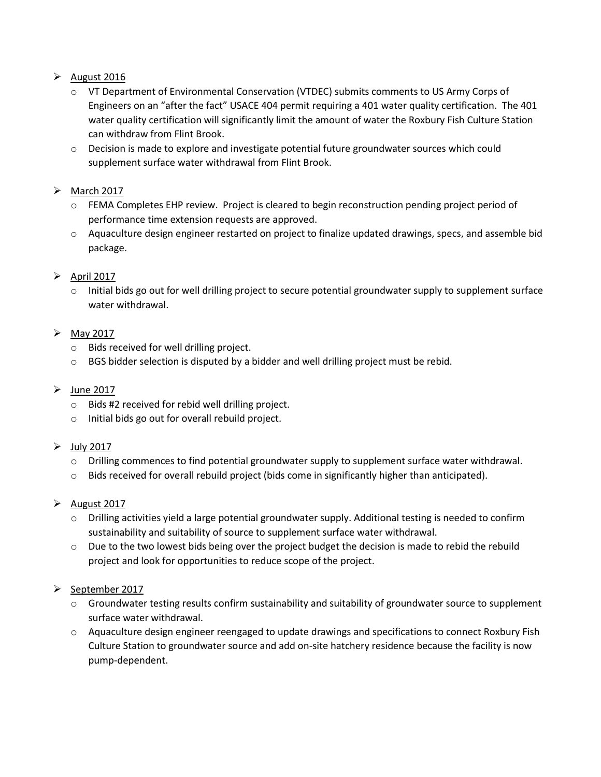# $\triangleright$  August 2016

- o VT Department of Environmental Conservation (VTDEC) submits comments to US Army Corps of Engineers on an "after the fact" USACE 404 permit requiring a 401 water quality certification. The 401 water quality certification will significantly limit the amount of water the Roxbury Fish Culture Station can withdraw from Flint Brook.
- o Decision is made to explore and investigate potential future groundwater sources which could supplement surface water withdrawal from Flint Brook.

## $\triangleright$  March 2017

- o FEMA Completes EHP review. Project is cleared to begin reconstruction pending project period of performance time extension requests are approved.
- o Aquaculture design engineer restarted on project to finalize updated drawings, specs, and assemble bid package.

## $\triangleright$  April 2017

o Initial bids go out for well drilling project to secure potential groundwater supply to supplement surface water withdrawal.

## $\triangleright$  May 2017

- o Bids received for well drilling project.
- o BGS bidder selection is disputed by a bidder and well drilling project must be rebid.

#### $\triangleright$  June 2017

- o Bids #2 received for rebid well drilling project.
- o Initial bids go out for overall rebuild project.
- $\triangleright$  July 2017
	- $\circ$  Drilling commences to find potential groundwater supply to supplement surface water withdrawal.
	- o Bids received for overall rebuild project (bids come in significantly higher than anticipated).

#### $\blacktriangleright$  August 2017

- o Drilling activities yield a large potential groundwater supply. Additional testing is needed to confirm sustainability and suitability of source to supplement surface water withdrawal.
- $\circ$  Due to the two lowest bids being over the project budget the decision is made to rebid the rebuild project and look for opportunities to reduce scope of the project.

# September 2017

- o Groundwater testing results confirm sustainability and suitability of groundwater source to supplement surface water withdrawal.
- o Aquaculture design engineer reengaged to update drawings and specifications to connect Roxbury Fish Culture Station to groundwater source and add on-site hatchery residence because the facility is now pump-dependent.